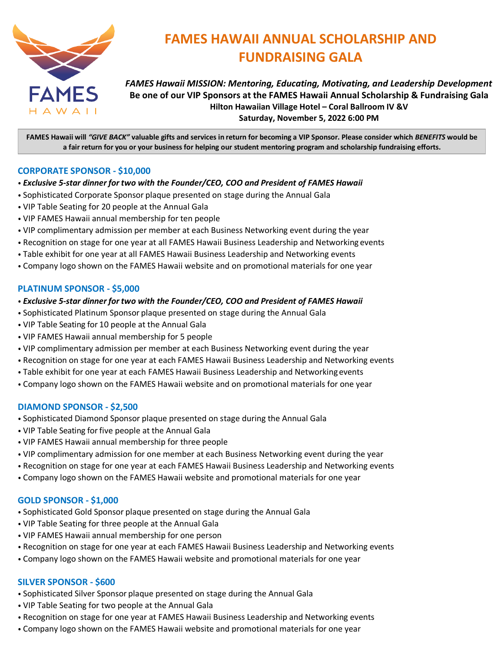

# **FAMES HAWAII ANNUAL SCHOLARSHIP AND FUNDRAISING GALA**

*FAMES Hawaii MISSION: Mentoring, Educating, Motivating, and Leadership Development* **Be one of our VIP Sponsors at the FAMES Hawaii Annual Scholarship & Fundraising Gala Hilton Hawaiian Village Hotel – Coral Ballroom IV &V Saturday, November 5, 2022 6:00 PM**

**FAMES Hawaii will** *"GIVE BACK"* **valuable gifts and services in return for becoming a VIP Sponsor. Please consider which** *BENEFITS* **would be a fair return for you or your business for helping our student mentoring program and scholarship fundraising efforts.**

### **CORPORATE SPONSOR - \$10,000**

- *Exclusive 5-star dinner for two with the Founder/CEO, COO and President of FAMES Hawaii*
- Sophisticated Corporate Sponsor plaque presented on stage during the Annual Gala
- VIP Table Seating for 20 people at the Annual Gala
- VIP FAMES Hawaii annual membership for ten people
- VIP complimentary admission per member at each Business Networking event during the year
- Recognition on stage for one year at all FAMES Hawaii Business Leadership and Networking events
- Table exhibit for one year at all FAMES Hawaii Business Leadership and Networking events
- Company logo shown on the FAMES Hawaii website and on promotional materials for one year

#### **PLATINUM SPONSOR - \$5,000**

#### • *Exclusive 5-star dinner for two with the Founder/CEO, COO and President of FAMES Hawaii*

- Sophisticated Platinum Sponsor plaque presented on stage during the Annual Gala
- VIP Table Seating for 10 people at the Annual Gala
- VIP FAMES Hawaii annual membership for 5 people
- VIP complimentary admission per member at each Business Networking event during the year
- Recognition on stage for one year at each FAMES Hawaii Business Leadership and Networking events
- Table exhibit for one year at each FAMES Hawaii Business Leadership and Networkingevents
- Company logo shown on the FAMES Hawaii website and on promotional materials for one year

#### **DIAMOND SPONSOR - \$2,500**

- Sophisticated Diamond Sponsor plaque presented on stage during the Annual Gala
- VIP Table Seating for five people at the Annual Gala
- VIP FAMES Hawaii annual membership for three people
- VIP complimentary admission for one member at each Business Networking event during the year
- Recognition on stage for one year at each FAMES Hawaii Business Leadership and Networking events
- Company logo shown on the FAMES Hawaii website and promotional materials for one year

#### **GOLD SPONSOR - \$1,000**

- Sophisticated Gold Sponsor plaque presented on stage during the Annual Gala
- VIP Table Seating for three people at the Annual Gala
- VIP FAMES Hawaii annual membership for one person
- Recognition on stage for one year at each FAMES Hawaii Business Leadership and Networking events
- Company logo shown on the FAMES Hawaii website and promotional materials for one year

#### **SILVER SPONSOR - \$600**

- Sophisticated Silver Sponsor plaque presented on stage during the Annual Gala
- VIP Table Seating for two people at the Annual Gala
- Recognition on stage for one year at FAMES Hawaii Business Leadership and Networking events
- Company logo shown on the FAMES Hawaii website and promotional materials for one year